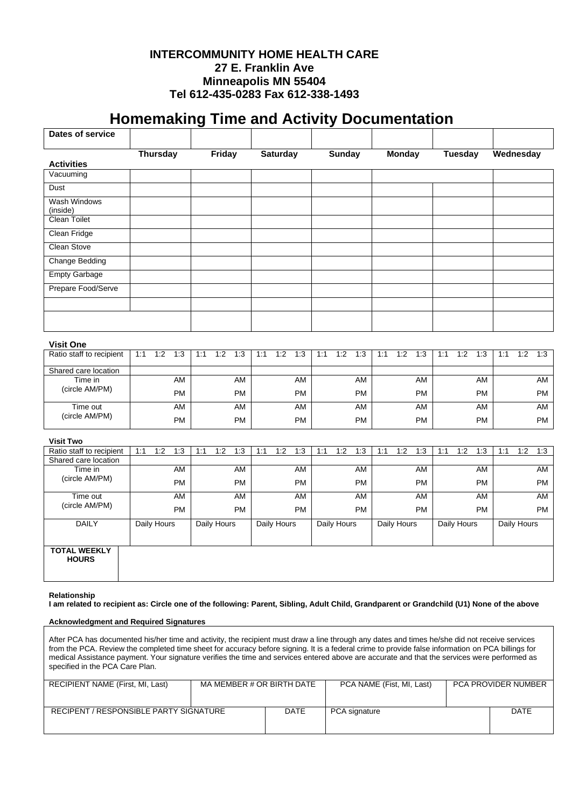## **INTERCOMMUNITY HOME HEALTH CARE 27 E. Franklin Ave Minneapolis MN 55404 Tel 612-435-0283 Fax 612-338-1493**

## **/ Homemaking Time and Activity Documentation**

| Dates of service                                                                                                                                          |     |                 |           |     |             |           |     |                 |           |     |               |           |     |               |           |     |                |           |           |             |           |
|-----------------------------------------------------------------------------------------------------------------------------------------------------------|-----|-----------------|-----------|-----|-------------|-----------|-----|-----------------|-----------|-----|---------------|-----------|-----|---------------|-----------|-----|----------------|-----------|-----------|-------------|-----------|
|                                                                                                                                                           |     | <b>Thursday</b> |           |     | Friday      |           |     | <b>Saturday</b> |           |     | <b>Sunday</b> |           |     | <b>Monday</b> |           |     | <b>Tuesday</b> |           | Wednesday |             |           |
| <b>Activities</b>                                                                                                                                         |     |                 |           |     |             |           |     |                 |           |     |               |           |     |               |           |     |                |           |           |             |           |
| Vacuuming                                                                                                                                                 |     |                 |           |     |             |           |     |                 |           |     |               |           |     |               |           |     |                |           |           |             |           |
| Dust                                                                                                                                                      |     |                 |           |     |             |           |     |                 |           |     |               |           |     |               |           |     |                |           |           |             |           |
| Wash Windows<br>(inside)                                                                                                                                  |     |                 |           |     |             |           |     |                 |           |     |               |           |     |               |           |     |                |           |           |             |           |
| Clean Toilet                                                                                                                                              |     |                 |           |     |             |           |     |                 |           |     |               |           |     |               |           |     |                |           |           |             |           |
| Clean Fridge                                                                                                                                              |     |                 |           |     |             |           |     |                 |           |     |               |           |     |               |           |     |                |           |           |             |           |
| Clean Stove                                                                                                                                               |     |                 |           |     |             |           |     |                 |           |     |               |           |     |               |           |     |                |           |           |             |           |
| <b>Change Bedding</b>                                                                                                                                     |     |                 |           |     |             |           |     |                 |           |     |               |           |     |               |           |     |                |           |           |             |           |
| <b>Empty Garbage</b>                                                                                                                                      |     |                 |           |     |             |           |     |                 |           |     |               |           |     |               |           |     |                |           |           |             |           |
| Prepare Food/Serve                                                                                                                                        |     |                 |           |     |             |           |     |                 |           |     |               |           |     |               |           |     |                |           |           |             |           |
|                                                                                                                                                           |     |                 |           |     |             |           |     |                 |           |     |               |           |     |               |           |     |                |           |           |             |           |
| <b>Visit One</b>                                                                                                                                          |     |                 |           |     |             |           |     |                 |           |     |               |           |     |               |           |     |                |           |           |             |           |
| Ratio staff to recipient                                                                                                                                  | 1:1 | 1:2             | 1:3       | 1:1 | 1:2         | 1:3       | 1:1 | 1:2             | 1:3       | 1:1 | 1:2           | 1:3       | 1:1 | 1:2           | 1:3       | 1:1 | 1:2            | 1:3       | 1:1       | 1:2         | 1:3       |
| Shared care location                                                                                                                                      |     |                 |           |     |             |           |     |                 |           |     |               |           |     |               |           |     |                |           |           |             |           |
| Time in                                                                                                                                                   |     |                 | AM        |     |             | AM        |     |                 | AM        |     |               | AM        |     |               | AM        |     |                | AM        |           |             | AM        |
| (circle AM/PM)                                                                                                                                            |     |                 | <b>PM</b> |     |             | <b>PM</b> |     |                 | <b>PM</b> |     |               | <b>PM</b> |     |               | <b>PM</b> |     |                | <b>PM</b> |           |             | <b>PM</b> |
| Time out                                                                                                                                                  |     |                 | <b>AM</b> |     |             | AM        |     |                 | <b>AM</b> |     |               | AM        |     |               | AM        |     |                | AM        |           |             | <b>AM</b> |
| (circle AM/PM)                                                                                                                                            |     |                 | <b>PM</b> |     |             | <b>PM</b> |     |                 | <b>PM</b> |     |               | <b>PM</b> |     |               | <b>PM</b> |     |                | <b>PM</b> |           |             | PM        |
| <b>Visit Two</b>                                                                                                                                          |     |                 |           |     |             |           |     |                 |           |     |               |           |     |               |           |     |                |           |           |             |           |
| Ratio staff to recipient                                                                                                                                  | 1:1 | 1:2             | 1:3       | 1:1 | 1:2         | 1:3       | 1:1 | 1:2             | 1:3       | 1:1 | 1:2           | 1:3       | 1:1 | 1:2           | 1:3       | 1:1 | 1:2            | 1:3       | 1:1       | 1:2         | 1:3       |
| Shared care location                                                                                                                                      |     |                 |           |     |             |           |     |                 |           |     |               |           |     |               |           |     |                |           |           |             |           |
| Time in<br>(circle AM/PM)                                                                                                                                 |     |                 | <b>AM</b> |     |             | AM        |     |                 | AM        |     |               | AM        |     |               | AM        |     |                | AM        |           |             | AM        |
|                                                                                                                                                           |     |                 | <b>PM</b> |     |             | <b>PM</b> |     |                 | <b>PM</b> |     |               | <b>PM</b> |     |               | <b>PM</b> |     |                | <b>PM</b> |           |             | <b>PM</b> |
| Time out                                                                                                                                                  |     |                 | AM        |     |             | AM        |     |                 | <b>AM</b> |     |               | <b>AM</b> |     |               | AM        |     |                | AM        |           |             | AM        |
| (circle AM/PM)                                                                                                                                            |     |                 | <b>PM</b> |     |             | <b>PM</b> |     |                 | <b>PM</b> |     |               | <b>PM</b> |     |               | <b>PM</b> |     |                | <b>PM</b> |           |             | <b>PM</b> |
| <b>DAILY</b>                                                                                                                                              |     | Daily Hours     |           |     | Daily Hours |           |     | Daily Hours     |           |     | Daily Hours   |           |     | Daily Hours   |           |     | Daily Hours    |           |           | Daily Hours |           |
| <b>TOTAL WEEKLY</b><br><b>HOURS</b>                                                                                                                       |     |                 |           |     |             |           |     |                 |           |     |               |           |     |               |           |     |                |           |           |             |           |
| Relationship<br>I am related to recipient as: Circle one of the following: Parent, Sibling, Adult Child, Grandparent or Grandchild (U1) None of the above |     |                 |           |     |             |           |     |                 |           |     |               |           |     |               |           |     |                |           |           |             |           |
| <b>Acknowledgment and Required Signatures</b>                                                                                                             |     |                 |           |     |             |           |     |                 |           |     |               |           |     |               |           |     |                |           |           |             |           |
| After PCA has documented his/her time and activity, the recipient must draw a line through any dates and times he/she did not receive services            |     |                 |           |     |             |           |     |                 |           |     |               |           |     |               |           |     |                |           |           |             |           |
|                                                                                                                                                           |     |                 |           |     |             |           |     |                 |           |     |               |           |     |               |           |     |                |           |           |             |           |

from the PCA. Review the completed time sheet for accuracy before signing. It is a federal crime to provide false information on PCA billings for medical Assistance payment. Your signature verifies the time and services entered above are accurate and that the services were performed as specified in the PCA Care Plan.

| RECIPIENT NAME (First, MI, Last)       | MA MEMBER # OR BIRTH DATE |      | PCA NAME (Fist. MI. Last) | <b>PCA PROVIDER NUMBER</b> |  |  |
|----------------------------------------|---------------------------|------|---------------------------|----------------------------|--|--|
| RECIPENT / RESPONSIBLE PARTY SIGNATURE |                           | DATE | PCA signature             | <b>DATE</b>                |  |  |